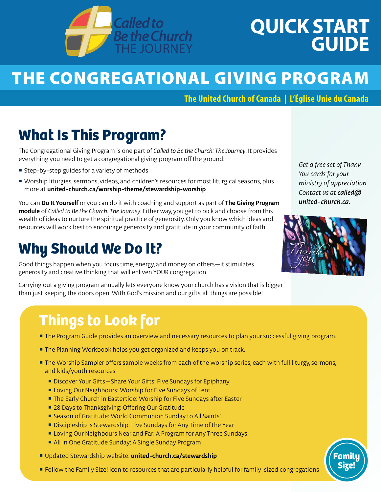

# **QUICK START GUIDE**

# THE CONGREGATIONAL GIVING PROGRAM

**The United Church of Canada | L'Église Unie du Canada** 

### **What Is This Program?**

The Congregational Giving Program is one part of *Called to Be the Church: The Journey*. It provides everything you need to get a congregational giving program off the ground:

- Step-by-step guides for a variety of methods
- Worship liturgies, sermons, videos, and children's resources for most liturgical seasons, plus more at **[united-church.ca/worship-theme/stewardship-worship](http://united-church.ca/worship-theme/stewardship-worship)**

You can **Do It Yourself** or you can do it with coaching and support as part of **The Giving Program module** of *Called to Be the Church: The Journey*. Either way, you get to pick and choose from this wealth of ideas to nurture the spiritual practice of generosity. Only you know which ideas and resources will work best to encourage generosity and gratitude in your community of faith.

### **Why Should We Do It?**

Good things happen when you focus time, energy, and money on others—it stimulates generosity and creative thinking that will enliven YOUR congregation.

Carrying out a giving program annually lets everyone know your church has a vision that is bigger than just keeping the doors open. With God's mission and our gifts, all things are possible!

*Get a free set of Thank You cards for your ministry of appreciation. Contact us at [called@](mailto:called%40united-church.ca?subject=) [united-church.ca.](mailto:called%40united-church.ca?subject=)*



**Family Size!**

## **Things to Look for**

- **The Program Guide provides an overview and necessary resources to plan your successful giving program.**
- The Planning Workbook helps you get organized and keeps you on track.
- **The Worship Sampler offers sample weeks from each of the worship series, each with full liturgy, sermons,** and kids/youth resources:
	- Discover Your Gifts–Share Your Gifts: Five Sundays for Epiphany
	- **E** Loving Our Neighbours: Worship for Five Sundays of Lent
	- **The Early Church in Eastertide: Worship for Five Sundays after Easter**
	- 28 Days to Thanksgiving: Offering Our Gratitude
	- Season of Gratitude: World Communion Sunday to All Saints'
	- Discipleship Is Stewardship: Five Sundays for Any Time of the Year
	- **E** Loving Our Neighbours Near and Far: A Program for Any Three Sundays
	- All in One Gratitude Sunday: A Single Sunday Program
- Updated Stewardship website: **[united-church.ca/stewardship](http://united-church.ca/stewardship)**
- **Follow the Family Size! icon to resources that are particularly helpful for family-sized congregations**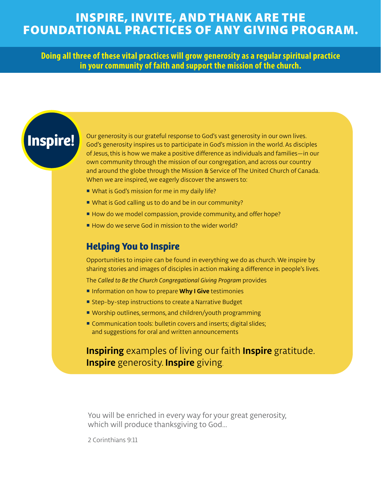#### INSPIRE, INVITE, AND THANK ARE THE FOUNDATIONAL PRACTICES OF ANY GIVING PROGRAM.

**Doing all three of these vital practices will grow generosity as a regular spiritual practice in your community of faith and support the mission of the church.** 

### **Inspire!**

Our generosity is our grateful response to God's vast generosity in our own lives. God's generosity inspires us to participate in God's mission in the world. As disciples of Jesus, this is how we make a positive difference as individuals and families—in our own community through the mission of our congregation, and across our country and around the globe through the Mission & Service of The United Church of Canada. When we are inspired, we eagerly discover the answers to:

- What is God's mission for me in my daily life?
- What is God calling us to do and be in our community?
- How do we model compassion, provide community, and offer hope?
- How do we serve God in mission to the wider world?

#### **Helping You to Inspire**

Opportunities to inspire can be found in everything we do as church. We inspire by sharing stories and images of disciples in action making a difference in people's lives.

The *Called to Be the Church Congregational Giving Program* provides

- **Information on how to prepare Why I Give testimonies**
- Step-by-step instructions to create a Narrative Budget
- Worship outlines, sermons, and children/youth programming
- Communication tools: bulletin covers and inserts; digital slides; and suggestions for oral and written announcements

#### **Inspiring** examples of living our faith **Inspire** gratitude. **Inspire** generosity. **Inspire** giving.

You will be enriched in every way for your great generosity, which will produce thanksgiving to God…

2 Corinthians 9:11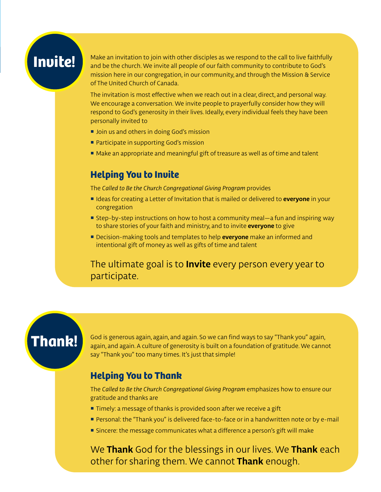### **Invite!**

Make an invitation to join with other disciples as we respond to the call to live faithfully and be the church. We invite all people of our faith community to contribute to God's mission here in our congregation, in our community, and through the Mission & Service of The United Church of Canada.

The invitation is most effective when we reach out in a clear, direct, and personal way. We encourage a conversation. We invite people to prayerfully consider how they will respond to God's generosity in their lives. Ideally, every individual feels they have been personally invited to

- **Join us and others in doing God's mission**
- Participate in supporting God's mission
- Make an appropriate and meaningful gift of treasure as well as of time and talent

#### **Helping You to Invite**

The *Called to Be the Church Congregational Giving Program* provides

- **If Ideas for creating a Letter of Invitation that is mailed or delivered to everyone in your** congregation
- Step-by-step instructions on how to host a community meal—a fun and inspiring way to share stories of your faith and ministry, and to invite **everyone** to give
- Decision-making tools and templates to help **everyone** make an informed and intentional gift of money as well as gifts of time and talent

The ultimate goal is to **Invite** every person every year to participate.

**Thank!** God is generous again, again, and again. So we can find ways to say "Thank you" again, and again. A culture of generosity is built on a foundation of gratitude. We cannot say "Thank you" too many times. It's just that simple!

#### **Helping You to Thank**

The *Called to Be the Church Congregational Giving Program* emphasizes how to ensure our gratitude and thanks are

- **Timely:** a message of thanks is provided soon after we receive a gift
- Personal: the "Thank you" is delivered face-to-face or in a handwritten note or by e-mail
- **Sincere: the message communicates what a difference a person's gift will make**

We **Thank** God for the blessings in our lives. We **Thank** each other for sharing them. We cannot **Thank** enough.